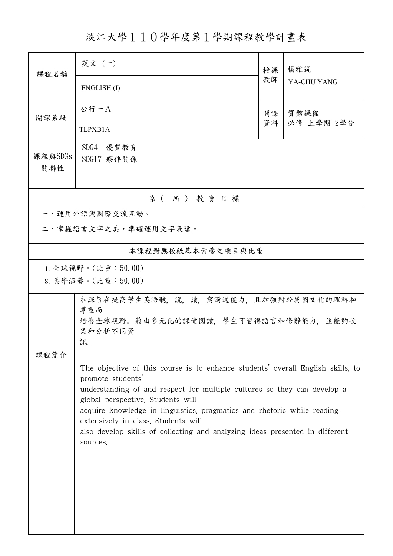淡江大學110學年度第1學期課程教學計畫表

| 課程名稱                 | 英文 (一)                                                                                                       | 授課 | 楊雅筑                |  |  |  |  |  |  |
|----------------------|--------------------------------------------------------------------------------------------------------------|----|--------------------|--|--|--|--|--|--|
|                      | ENGLISH(I)                                                                                                   | 教師 | YA-CHU YANG        |  |  |  |  |  |  |
| 開課系級                 | 公行一A                                                                                                         | 開課 | 實體課程<br>必修 上學期 2學分 |  |  |  |  |  |  |
|                      | TLPXB1A                                                                                                      | 資料 |                    |  |  |  |  |  |  |
| 課程與SDGs              | SDG4 優質教育<br>SDG17 夥伴關係                                                                                      |    |                    |  |  |  |  |  |  |
| 關聯性                  |                                                                                                              |    |                    |  |  |  |  |  |  |
| 系(所)教育目標             |                                                                                                              |    |                    |  |  |  |  |  |  |
|                      | 一、運用外語與國際交流互動。                                                                                               |    |                    |  |  |  |  |  |  |
| 二、掌握語言文字之美,準確運用文字表達。 |                                                                                                              |    |                    |  |  |  |  |  |  |
|                      | 本課程對應校級基本素養之項目與比重                                                                                            |    |                    |  |  |  |  |  |  |
| 1. 全球視野。(比重:50.00)   |                                                                                                              |    |                    |  |  |  |  |  |  |
|                      | 8. 美學涵養。(比重:50.00)                                                                                           |    |                    |  |  |  |  |  |  |
|                      | 本課旨在提高學生英語聽,說,讀,寫溝通能力,且加強對於異國文化的理解和                                                                          |    |                    |  |  |  |  |  |  |
|                      | 尊重而                                                                                                          |    |                    |  |  |  |  |  |  |
|                      | 培養全球視野。藉由多元化的課堂閱讀,學生可習得語言和修辭能力,並能夠收                                                                          |    |                    |  |  |  |  |  |  |
|                      | 集和分析不同資<br>訊。                                                                                                |    |                    |  |  |  |  |  |  |
| 課程簡介                 |                                                                                                              |    |                    |  |  |  |  |  |  |
|                      | The objective of this course is to enhance students' overall English skills, to                              |    |                    |  |  |  |  |  |  |
|                      | promote students'                                                                                            |    |                    |  |  |  |  |  |  |
|                      | understanding of and respect for multiple cultures so they can develop a                                     |    |                    |  |  |  |  |  |  |
|                      | global perspective. Students will<br>acquire knowledge in linguistics, pragmatics and rhetoric while reading |    |                    |  |  |  |  |  |  |
|                      | extensively in class. Students will                                                                          |    |                    |  |  |  |  |  |  |
|                      | also develop skills of collecting and analyzing ideas presented in different                                 |    |                    |  |  |  |  |  |  |
|                      | sources.                                                                                                     |    |                    |  |  |  |  |  |  |
|                      |                                                                                                              |    |                    |  |  |  |  |  |  |
|                      |                                                                                                              |    |                    |  |  |  |  |  |  |
|                      |                                                                                                              |    |                    |  |  |  |  |  |  |
|                      |                                                                                                              |    |                    |  |  |  |  |  |  |
|                      |                                                                                                              |    |                    |  |  |  |  |  |  |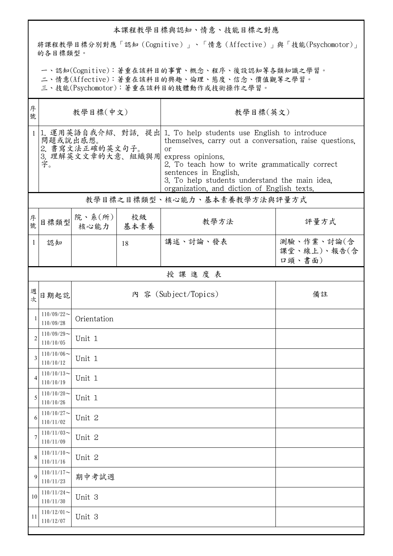## 本課程教學目標與認知、情意、技能目標之對應

將課程教學目標分別對應「認知(Cognitive)」、「情意(Affective)」與「技能(Psychomotor)」 的各目標類型。

一、認知(Cognitive):著重在該科目的事實、概念、程序、後設認知等各類知識之學習。

二、情意(Affective):著重在該科目的興趣、倫理、態度、信念、價值觀等之學習。

三、技能(Psychomotor):著重在該科目的肢體動作或技術操作之學習。

| 序<br>號         | 教學目標(中文)                                                                 |                            |    | 教學目標(英文)                                                                                                                                                                                                                                                                                                    |                                     |  |  |  |  |
|----------------|--------------------------------------------------------------------------|----------------------------|----|-------------------------------------------------------------------------------------------------------------------------------------------------------------------------------------------------------------------------------------------------------------------------------------------------------------|-------------------------------------|--|--|--|--|
|                | 問題或說出感想。<br>2. 書寫文法正確的英文句子。<br>3. 理解英文文章的大意、組織與用 express opinions.<br>字。 |                            |    | 1 1. 運用英語自我介紹、對話,提出 1. To help students use English to introduce<br>themselves, carry out a conversation, raise questions,<br>or<br>2. To teach how to write grammatically correct<br>sentences in English.<br>3. To help students understand the main idea,<br>organization, and diction of English texts. |                                     |  |  |  |  |
|                | 教學目標之目標類型、核心能力、基本素養教學方法與評量方式                                             |                            |    |                                                                                                                                                                                                                                                                                                             |                                     |  |  |  |  |
| 序號             |                                                                          | 目標類型 院、系(所)<br>核心能力   基本素養 | 校級 | 教學方法                                                                                                                                                                                                                                                                                                        | 評量方式                                |  |  |  |  |
| $\mathbf{1}$   | 認知                                                                       |                            | 18 | 講述、討論、發表                                                                                                                                                                                                                                                                                                    | 測驗、作業、討論(含<br>課堂、線上)、報告(含<br>口頭、書面) |  |  |  |  |
|                | 授課進度表                                                                    |                            |    |                                                                                                                                                                                                                                                                                                             |                                     |  |  |  |  |
| 週次             | 日期起訖                                                                     |                            |    | 內 容 (Subject/Topics)                                                                                                                                                                                                                                                                                        | 備註                                  |  |  |  |  |
| 1              | $110/09/22$ ~<br>110/09/28                                               | Orientation                |    |                                                                                                                                                                                                                                                                                                             |                                     |  |  |  |  |
| $\overline{2}$ | $110/09/29$ ~<br>110/10/05                                               | Unit 1                     |    |                                                                                                                                                                                                                                                                                                             |                                     |  |  |  |  |
| 3              | $110/10/06 \sim$<br>110/10/12                                            | Unit 1                     |    |                                                                                                                                                                                                                                                                                                             |                                     |  |  |  |  |
| $\overline{4}$ | $110/10/13$ ~<br>110/10/19                                               | Unit 1                     |    |                                                                                                                                                                                                                                                                                                             |                                     |  |  |  |  |
| 5              | $110/10/20$ ~<br>110/10/26                                               | Unit 1                     |    |                                                                                                                                                                                                                                                                                                             |                                     |  |  |  |  |
| 6              | $110/10/27$ ~<br>110/11/02                                               | Unit 2                     |    |                                                                                                                                                                                                                                                                                                             |                                     |  |  |  |  |
| 7              | $110/11/03$ ~<br>110/11/09                                               | Unit 2                     |    |                                                                                                                                                                                                                                                                                                             |                                     |  |  |  |  |
| 8              | $110/11/10$ ~<br>110/11/16                                               | Unit 2                     |    |                                                                                                                                                                                                                                                                                                             |                                     |  |  |  |  |
| 9              | $110/11/17$ ~<br>110/11/23                                               | 期中考試週                      |    |                                                                                                                                                                                                                                                                                                             |                                     |  |  |  |  |
| 10             | $110/11/24$ ~<br>110/11/30                                               | Unit 3                     |    |                                                                                                                                                                                                                                                                                                             |                                     |  |  |  |  |
| 11             | $110/12/01$ ~<br>110/12/07                                               | Unit 3                     |    |                                                                                                                                                                                                                                                                                                             |                                     |  |  |  |  |